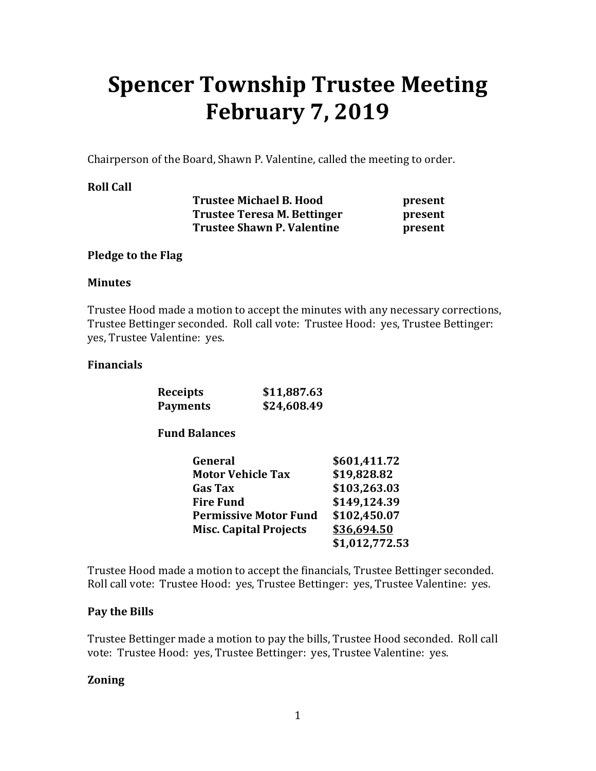# **Spencer Township Trustee Meeting February 7, 2019**

Chairperson of the Board, Shawn P. Valentine, called the meeting to order.

## **Roll Call**

| <b>Trustee Michael B. Hood</b>    |  |
|-----------------------------------|--|
| Trustee Teresa M. Bettinger       |  |
| <b>Trustee Shawn P. Valentine</b> |  |

**present present** present

## **Pledge to the Flag**

#### **Minutes**

Trustee Hood made a motion to accept the minutes with any necessary corrections, Trustee Bettinger seconded. Roll call vote: Trustee Hood: yes, Trustee Bettinger: yes, Trustee Valentine: yes.

## **Financials**

| Receipts        | \$11,887.63 |
|-----------------|-------------|
| <b>Payments</b> | \$24,608.49 |

## **Fund Balances**

| General                       | \$601,411.72   |
|-------------------------------|----------------|
| <b>Motor Vehicle Tax</b>      | \$19,828.82    |
| <b>Gas Tax</b>                | \$103,263.03   |
| <b>Fire Fund</b>              | \$149,124.39   |
| <b>Permissive Motor Fund</b>  | \$102,450.07   |
| <b>Misc. Capital Projects</b> | \$36,694.50    |
|                               | \$1,012,772.53 |

Trustee Hood made a motion to accept the financials, Trustee Bettinger seconded. Roll call vote: Trustee Hood: yes, Trustee Bettinger: yes, Trustee Valentine: yes.

## **Pay the Bills**

Trustee Bettinger made a motion to pay the bills, Trustee Hood seconded. Roll call vote: Trustee Hood: yes, Trustee Bettinger: yes, Trustee Valentine: yes.

## **Zoning**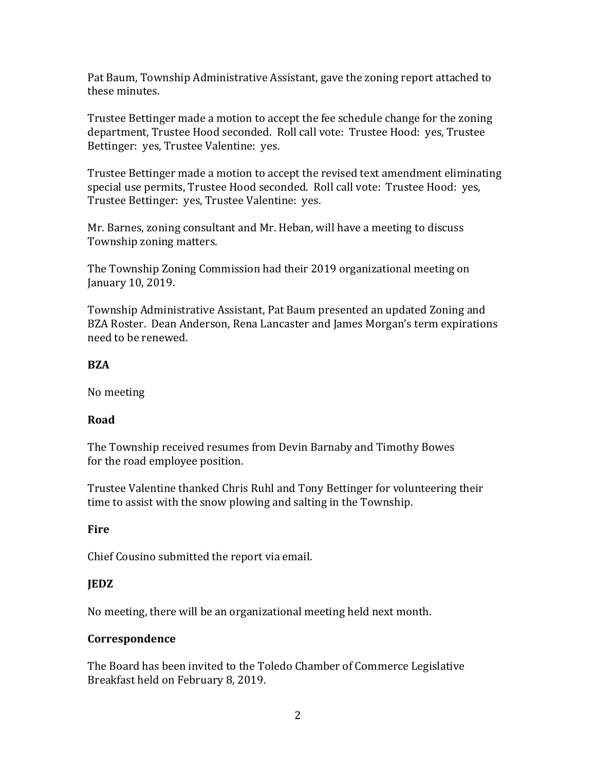Pat Baum, Township Administrative Assistant, gave the zoning report attached to these minutes.

Trustee Bettinger made a motion to accept the fee schedule change for the zoning department, Trustee Hood seconded. Roll call vote: Trustee Hood: yes, Trustee Bettinger: yes, Trustee Valentine: yes.

Trustee Bettinger made a motion to accept the revised text amendment eliminating special use permits, Trustee Hood seconded. Roll call vote: Trustee Hood: yes, Trustee Bettinger: yes, Trustee Valentine: yes.

Mr. Barnes, zoning consultant and Mr. Heban, will have a meeting to discuss Township zoning matters.

The Township Zoning Commission had their 2019 organizational meeting on January 10, 2019.

Township Administrative Assistant, Pat Baum presented an updated Zoning and BZA Roster. Dean Anderson, Rena Lancaster and James Morgan's term expirations need to be renewed.

## **BZA**

No meeting

## **Road**

The Township received resumes from Devin Barnaby and Timothy Bowes for the road employee position.

Trustee Valentine thanked Chris Ruhl and Tony Bettinger for volunteering their time to assist with the snow plowing and salting in the Township.

## **Fire**

Chief Cousino submitted the report via email.

## **JEDZ**

No meeting, there will be an organizational meeting held next month.

## **Correspondence**

The Board has been invited to the Toledo Chamber of Commerce Legislative Breakfast held on February 8, 2019.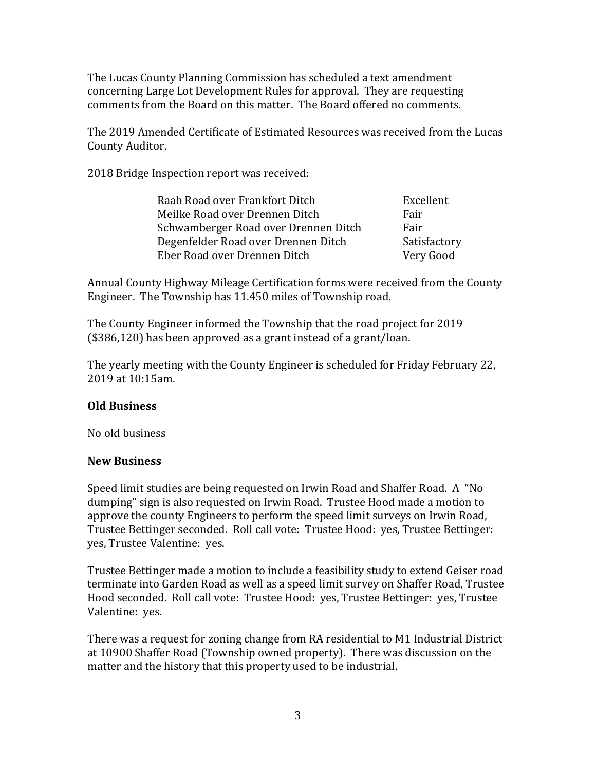The Lucas County Planning Commission has scheduled a text amendment concerning Large Lot Development Rules for approval. They are requesting comments from the Board on this matter. The Board offered no comments.

The 2019 Amended Certificate of Estimated Resources was received from the Lucas County Auditor.

2018 Bridge Inspection report was received:

| Raab Road over Frankfort Ditch       | Excellent    |
|--------------------------------------|--------------|
| Meilke Road over Drennen Ditch       | Fair         |
| Schwamberger Road over Drennen Ditch | Fair         |
| Degenfelder Road over Drennen Ditch  | Satisfactory |
| Eber Road over Drennen Ditch         | Very Good    |

Annual County Highway Mileage Certification forms were received from the County Engineer. The Township has 11.450 miles of Township road.

The County Engineer informed the Township that the road project for 2019 (\$386,120) has been approved as a grant instead of a grant/loan.

The yearly meeting with the County Engineer is scheduled for Friday February 22, 2019 at 10:15am.

## **Old Business**

No old business

## **New Business**

Speed limit studies are being requested on Irwin Road and Shaffer Road. A "No dumping" sign is also requested on Irwin Road. Trustee Hood made a motion to approve the county Engineers to perform the speed limit surveys on Irwin Road, Trustee Bettinger seconded. Roll call vote: Trustee Hood: yes, Trustee Bettinger: yes, Trustee Valentine: yes.

Trustee Bettinger made a motion to include a feasibility study to extend Geiser road terminate into Garden Road as well as a speed limit survey on Shaffer Road, Trustee Hood seconded. Roll call vote: Trustee Hood: yes, Trustee Bettinger: yes, Trustee Valentine: yes.

There was a request for zoning change from RA residential to M1 Industrial District at 10900 Shaffer Road (Township owned property). There was discussion on the matter and the history that this property used to be industrial.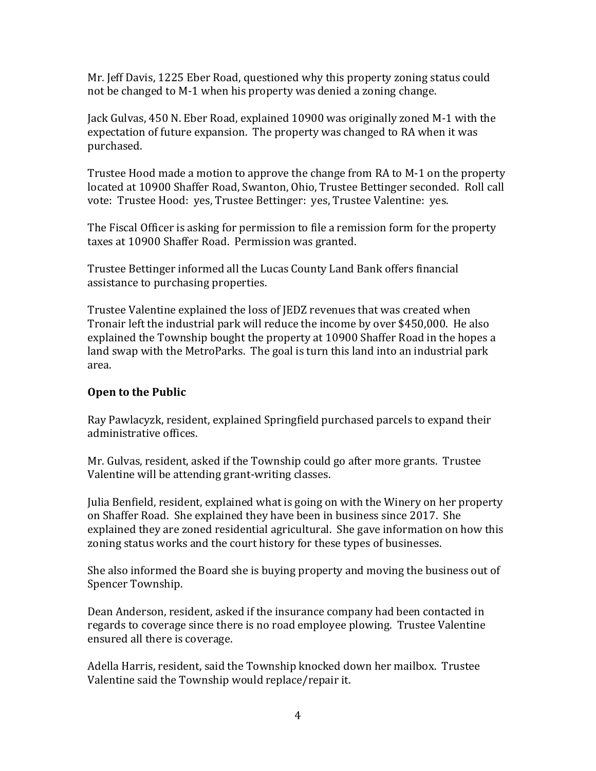Mr. Jeff Davis, 1225 Eber Road, questioned why this property zoning status could not be changed to M-1 when his property was denied a zoning change.

Jack Gulvas, 450 N. Eber Road, explained 10900 was originally zoned M-1 with the expectation of future expansion. The property was changed to RA when it was purchased.

Trustee Hood made a motion to approve the change from RA to M-1 on the property located at 10900 Shaffer Road, Swanton, Ohio, Trustee Bettinger seconded. Roll call vote: Trustee Hood: yes, Trustee Bettinger: yes, Trustee Valentine: yes.

The Fiscal Officer is asking for permission to file a remission form for the property taxes at 10900 Shaffer Road. Permission was granted.

Trustee Bettinger informed all the Lucas County Land Bank offers financial assistance to purchasing properties.

Trustee Valentine explained the loss of JEDZ revenues that was created when Tronair left the industrial park will reduce the income by over \$450,000. He also explained the Township bought the property at 10900 Shaffer Road in the hopes a land swap with the MetroParks. The goal is turn this land into an industrial park area.

## **Open to the Public**

Ray Pawlacyzk, resident, explained Springfield purchased parcels to expand their administrative offices.

Mr. Gulvas, resident, asked if the Township could go after more grants. Trustee Valentine will be attending grant-writing classes.

Julia Benfield, resident, explained what is going on with the Winery on her property on Shaffer Road. She explained they have been in business since 2017. She explained they are zoned residential agricultural. She gave information on how this zoning status works and the court history for these types of businesses.

She also informed the Board she is buying property and moving the business out of Spencer Township.

Dean Anderson, resident, asked if the insurance company had been contacted in regards to coverage since there is no road employee plowing. Trustee Valentine ensured all there is coverage.

Adella Harris, resident, said the Township knocked down her mailbox. Trustee Valentine said the Township would replace/repair it.